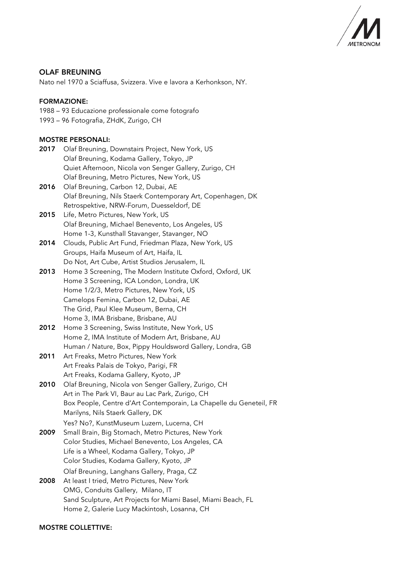

# OLAF BREUNING

Nato nel 1970 a Sciaffusa, Svizzera. Vive e lavora a Kerhonkson, NY.

### FORMAZIONE:

1988 – 93 Educazione professionale come fotografo 1993 – 96 Fotografia, ZHdK, Zurigo, CH

## MOSTRE PERSONALI:

- 2017 Olaf Breuning, Downstairs Project, New York, US Olaf Breuning, Kodama Gallery, Tokyo, JP Quiet Afternoon, Nicola von Senger Gallery, Zurigo, CH Olaf Breuning, Metro Pictures, New York, US
- 2016 Olaf Breuning, Carbon 12, Dubai, AE Olaf Breuning, Nils Staerk Contemporary Art, Copenhagen, DK Retrospektive, NRW-Forum, Duesseldorf, DE
- 2015 Life, Metro Pictures, New York, US Olaf Breuning, Michael Benevento, Los Angeles, US Home 1-3, Kunsthall Stavanger, Stavanger, NO
- 2014 Clouds, Public Art Fund, Friedman Plaza, New York, US Groups, Haifa Museum of Art, Haifa, IL Do Not, Art Cube, Artist Studios Jerusalem, IL
- 2013 Home 3 Screening, The Modern Institute Oxford, Oxford, UK Home 3 Screening, ICA London, Londra, UK Home 1/2/3, Metro Pictures, New York, US Camelops Femina, Carbon 12, Dubai, AE The Grid, Paul Klee Museum, Berna, CH Home 3, IMA Brisbane, Brisbane, AU
- 2012 Home 3 Screening, Swiss Institute, New York, US Home 2, IMA Institute of Modern Art, Brisbane, AU Human / Nature, Box, Pippy Houldsword Gallery, Londra, GB
- 2011 Art Freaks, Metro Pictures, New York Art Freaks Palais de Tokyo, Parigi, FR Art Freaks, Kodama Gallery, Kyoto, JP
- 2010 Olaf Breuning, Nicola von Senger Gallery, Zurigo, CH Art in The Park VI, Baur au Lac Park, Zurigo, CH Box People, Centre d'Art Contemporain, La Chapelle du Geneteil, FR Marilyns, Nils Staerk Gallery, DK Yes? No?, KunstMuseum Luzern, Lucerna, CH
- 2009 Small Brain, Big Stomach, Metro Pictures, New York Color Studies, Michael Benevento, Los Angeles, CA Life is a Wheel, Kodama Gallery, Tokyo, JP Color Studies, Kodama Gallery, Kyoto, JP Olaf Breuning, Langhans Gallery, Praga, CZ
- 2008 At least I tried, Metro Pictures, New York OMG, Conduits Gallery, Milano, IT Sand Sculpture, Art Projects for Miami Basel, Miami Beach, FL Home 2, Galerie Lucy Mackintosh, Losanna, CH

### MOSTRE COLLETTIVE: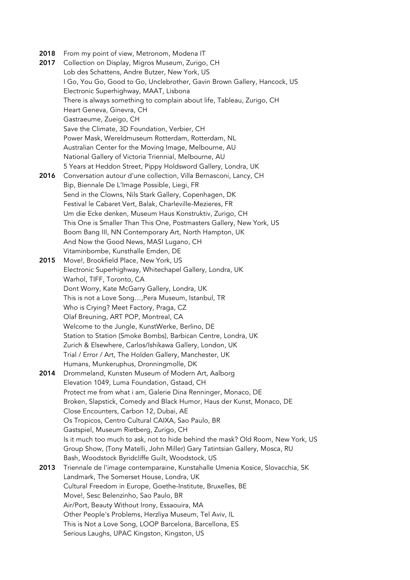2018 From my point of view, Metronom, Modena IT 2017 Collection on Display, Migros Museum, Zurigo, CH Lob des Schattens, Andre Butzer, New York, US I Go, You Go, Good to Go, Unclebrother, Gavin Brown Gallery, Hancock, US Electronic Superhighway, MAAT, Lisbona There is always something to complain about life, Tableau, Zurigo, CH Heart Geneva, Ginevra, CH Gastraeume, Zueigo, CH Save the Climate, 3D Foundation, Verbier, CH Power Mask, Wereldmuseum Rotterdam, Rotterdam, NL Australian Center for the Moving Image, Melbourne, AU National Gallery of Victoria Triennial, Melbourne, AU 5 Years at Heddon Street, Pippy Holdsword Gallery, Londra, UK 2016 Conversation autour d'une collection, Villa Bernasconi, Lancy, CH Bip, Biennale De L'Image Possible, Liegi, FR Send in the Clowns, Nils Stark Gallery, Copenhagen, DK Festival le Cabaret Vert, Balak, Charleville-Mezieres, FR Um die Ecke denken, Museum Haus Konstruktiv, Zurigo, CH This One is Smaller Than This One, Postmasters Gallery, New York, US Boom Bang III, NN Contemporary Art, North Hampton, UK And Now the Good News, MASI Lugano, CH Vitaminbombe, Kunsthalle Emden, DE 2015 Move!, Brookfield Place, New York, US Electronic Superhighway, Whitechapel Gallery, Londra, UK Warhol, TIFF, Toronto, CA Dont Worry, Kate McGarry Gallery, Londra, UK This is not a Love Song…,Pera Museum, Istanbul, TR Who is Crying? Meet Factory, Praga, CZ Olaf Breuning, ART POP, Montreal, CA Welcome to the Jungle, KunstWerke, Berlino, DE Station to Station (Smoke Bombs), Barbican Centre, Londra, UK Zurich & Elsewhere, Carlos/Ishikawa Gallery, London, UK Trial / Error / Art, The Holden Gallery, Manchester, UK Humans, Munkeruphus, Dronningmolle, DK 2014 Drommeland, Kunsten Museum of Modern Art, Aalborg Elevation 1049, Luma Foundation, Gstaad, CH Protect me from what i am, Galerie Dina Renninger, Monaco, DE Broken, Slapstick, Comedy and Black Humor, Haus der Kunst, Monaco, DE Close Encounters, Carbon 12, Dubai, AE Os Tropicos, Centro Cultural CAIXA, Sao Paulo, BR Gastspiel, Museum Rietberg, Zurigo, CH Is it much too much to ask, not to hide behind the mask? Old Room, New York, US Group Show, (Tony Matelli, John Miller) Gary Tatintsian Gallery, Mosca, RU Bash, Woodstock Byridcliffe Guilt, Woodstock, US 2013 Triennale de l'image contemparaine, Kunstahalle Umenia Kosice, Slovacchia, SK Landmark, The Somerset House, Londra, UK Cultural Freedom in Europe, Goethe-Institute, Bruxelles, BE Move!, Sesc Belenzinho, Sao Paulo, BR Air/Port, Beauty Without Irony, Essaouira, MA Other People's Problems, Herzliya Museum, Tel Aviv, IL This is Not a Love Song, LOOP Barcelona, Barcellona, ES Serious Laughs, UPAC Kingston, Kingston, US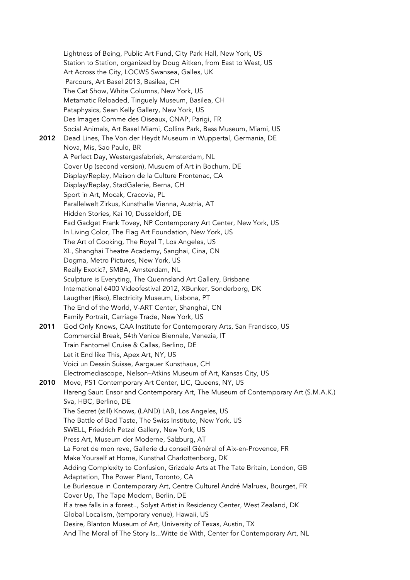Lightness of Being, Public Art Fund, City Park Hall, New York, US Station to Station, organized by Doug Aitken, from East to West, US Art Across the City, LOCWS Swansea, Galles, UK Parcours, Art Basel 2013, Basilea, CH The Cat Show, White Columns, New York, US Metamatic Reloaded, Tinguely Museum, Basilea, CH Pataphysics, Sean Kelly Gallery, New York, US Des Images Comme des Oiseaux, CNAP, Parigi, FR Social Animals, Art Basel Miami, Collins Park, Bass Museum, Miami, US 2012 Dead Lines, The Von der Heydt Museum in Wuppertal, Germania, DE Nova, Mis, Sao Paulo, BR A Perfect Day, Westergasfabriek, Amsterdam, NL Cover Up (second version), Musuem of Art in Bochum, DE Display/Replay, Maison de la Culture Frontenac, CA Display/Replay, StadGalerie, Berna, CH Sport in Art, Mocak, Cracovia, PL Parallelwelt Zirkus, Kunsthalle Vienna, Austria, AT Hidden Stories, Kai 10, Dusseldorf, DE Fad Gadget Frank Tovey, NP Contemporary Art Center, New York, US In Living Color, The Flag Art Foundation, New York, US The Art of Cooking, The Royal T, Los Angeles, US XL, Shanghai Theatre Academy, Sanghai, Cina, CN Dogma, Metro Pictures, New York, US Really Exotic?, SMBA, Amsterdam, NL Sculpture is Everyting, The Quennsland Art Gallery, Brisbane International 6400 Videofestival 2012, XBunker, Sonderborg, DK Laugther (Riso), Electricity Museum, Lisbona, PT The End of the World, V-ART Center, Shanghai, CN Family Portrait, Carriage Trade, New York, US 2011 God Only Knows, CAA Institute for Contemporary Arts, San Francisco, US Commercial Break, 54th Venice Biennale, Venezia, IT Train Fantome! Cruise & Callas, Berlino, DE Let it End like This, Apex Art, NY, US Voici un Dessin Suisse, Aargauer Kunsthaus, CH Electromediascope, Nelson–Atkins Museum of Art, Kansas City, US 2010 Move, PS1 Contemporary Art Center, LIC, Queens, NY, US Hareng Saur: Ensor and Contemporary Art, The Museum of Contemporary Art (S.M.A.K.) Sva, HBC, Berlino, DE The Secret (still) Knows, (LAND) LAB, Los Angeles, US The Battle of Bad Taste, The Swiss Institute, New York, US SWELL, Friedrich Petzel Gallery, New York, US Press Art, Museum der Moderne, Salzburg, AT La Foret de mon reve, Gallerie du conseil Général of Aix-en-Provence, FR Make Yourself at Home, Kunsthal Charlottenborg, DK Adding Complexity to Confusion, Grizdale Arts at The Tate Britain, London, GB Adaptation, The Power Plant, Toronto, CA Le Burlesque in Contemporary Art, Centre Culturel André Malruex, Bourget, FR Cover Up, The Tape Modern, Berlin, DE If a tree falls in a forest.., Solyst Artist in Residency Center, West Zealand, DK Global Localism, (temporary venue), Hawaii, US Desire, Blanton Museum of Art, University of Texas, Austin, TX And The Moral of The Story Is...Witte de With, Center for Contemporary Art, NL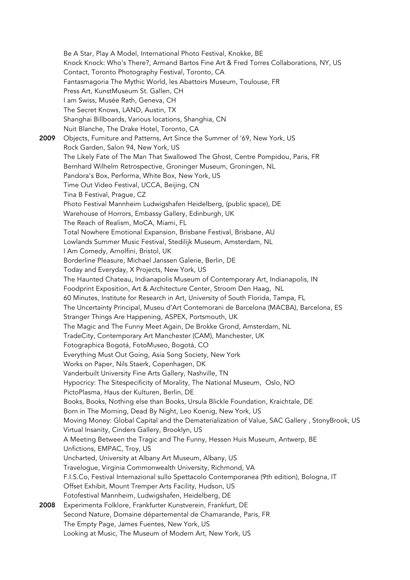Be A Star, Play A Model, International Photo Festival, Knokke, BE Knock Knock: Who's There?, Armand Bartos Fine Art & Fred Torres Collaborations, NY, US Contact, Toronto Photography Festival, Toronto, CA Fantasmagoria The Mythic World, les Abattoirs Museum, Toulouse, FR Press Art, KunstMuseum St. Gallen, CH I am Swiss, Musée Rath, Geneva, CH The Secret Knows, LAND, Austin, TX Shanghai Billboards, Various locations, Shanghia, CN Nuit Blanche, The Drake Hotel, Toronto, CA 2009 Objects, Furniture and Patterns, Art Since the Summer of '69, New York, US Rock Garden, Salon 94, New York, US The Likely Fate of The Man That Swallowed The Ghost, Centre Pompidou, Paris, FR Bernhard Wilhelm Retrospective, Groninger Museum, Groningen, NL Pandora's Box, Performa, White Box, New York, US Time Out Video Festival, UCCA, Beijing, CN Tina B Festival, Prague, CZ Photo Festival Mannheim Ludwigshafen Heidelberg, (public space), DE Warehouse of Horrors, Embassy Gallery, Edinburgh, UK The Reach of Realism, MoCA, Miami, FL Total Nowhere Emotional Expansion, Brisbane Festival, Brisbane, AU Lowlands Summer Music Festival, Stedilijk Museum, Amsterdam, NL I Am Comedy, Arnolfini, Bristol, UK Borderline Pleasure, Michael Janssen Galerie, Berlin, DE Today and Everyday, X Projects, New York, US The Haunted Chateau, Indianapolis Museum of Contemporary Art, Indianapolis, IN Foodprint Exposition, Art & Architecture Center, Stroom Den Haag, NL 60 Minutes, Institute for Research in Art, University of South Florida, Tampa, FL The Uncertainty Principal, Museu d'Art Contemorani de Barcelona (MACBA), Barcelona, ES Stranger Things Are Happening, ASPEX, Portsmouth, UK The Magic and The Funny Meet Again, De Brokke Grond, Amsterdam, NL TradeCity, Contemporary Art Manchester (CAM), Manchester, UK Fotographica Bogotá, FotoMuseo, Bogotá, CO Everything Must Out Going, Asia Song Society, New York Works on Paper, Nils Staerk, Copenhagen, DK Vanderbuilt University Fine Arts Gallery, Nashville, TN Hypocricy: The Sitespecificity of Morality, The National Museum, Oslo, NO PictoPlasma, Haus der Kulturen, Berlin, DE Books, Books, Nothing else than Books, Ursula Blickle Foundation, Kraichtale, DE Born in The Morning, Dead By Night, Leo Koenig, New York, US Moving Money: Global Capital and the Dematerialization of Value, SAC Gallery , StonyBrook, US Virtual Insanity, Cinders Gallery, Brooklyn, US A Meeting Between the Tragic and The Funny, Hessen Huis Museum, Antwerp, BE Unfictions, EMPAC, Troy, US Uncharted, University at Albany Art Museum, Albany, US Travelogue, Virginia Commonwealth University, Richmond, VA F.I.S.Co, Festival Internazional sullo Spettacolo Contemporanea (9th edition), Bologna, IT Offset Exhibit, Mount Tremper Arts Facility, Hudson, US Fotofestival Mannheim, Ludwigshafen, Heidelberg, DE 2008 Experimenta Folklore, Frankfurter Kunstverein, Frankfurt, DE Second Nature, Domaine départemental de Chamarande, Paris, FR The Empty Page, James Fuentes, New York, US Looking at Music, The Museum of Modern Art, New York, US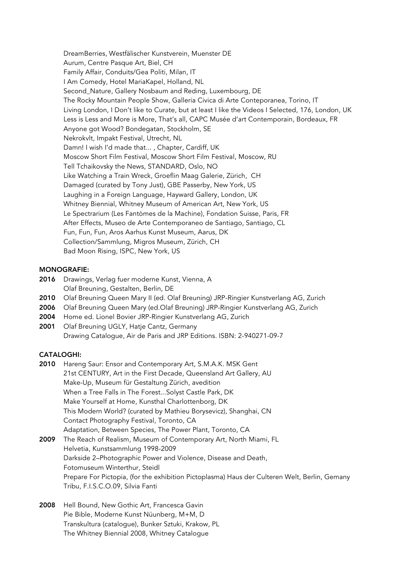DreamBerries, Westfälischer Kunstverein, Muenster DE Aurum, Centre Pasque Art, Biel, CH Family Affair, Conduits/Gea Politi, Milan, IT I Am Comedy, Hotel MariaKapel, Holland, NL Second\_Nature, Gallery Nosbaum and Reding, Luxembourg, DE The Rocky Mountain People Show, Galleria Civica di Arte Conteporanea, Torino, IT Living London, I Don't like to Curate, but at least I like the Videos I Selected, 176, London, UK Less is Less and More is More, That's all, CAPC Musée d'art Contemporain, Bordeaux, FR Anyone got Wood? Bondegatan, Stockholm, SE Nekrokvlt, Impakt Festival, Utrecht, NL Damn! I wish I'd made that... , Chapter, Cardiff, UK Moscow Short Film Festival, Moscow Short Film Festival, Moscow, RU Tell Tchaikovsky the News, STANDARD, Oslo, NO Like Watching a Train Wreck, Groeflin Maag Galerie, Zürich, CH Damaged (curated by Tony Just), GBE Passerby, New York, US Laughing in a Foreign Language, Hayward Gallery, London, UK Whitney Biennial, Whitney Museum of American Art, New York, US Le Spectrarium (Les Fantòmes de la Machine), Fondation Suisse, Paris, FR After Effects, Museo de Arte Contemporaneo de Santiago, Santiago, CL Fun, Fun, Fun, Aros Aarhus Kunst Museum, Aarus, DK Collection/Sammlung, Migros Museum, Zürich, CH Bad Moon Rising, ISPC, New York, US

### MONOGRAFIE:

- 2016 Drawings, Verlag fuer moderne Kunst, Vienna, A Olaf Breuning, Gestalten, Berlin, DE
- 2010 Olaf Breuning Queen Mary II (ed. Olaf Breuning) JRP-Ringier Kunstverlang AG, Zurich
- 2006 Olaf Breuning Queen Mary (ed.Olaf Breuning) JRP-Ringier Kunstverlang AG, Zurich
- 2004 Home ed. Lionel Bovier JRP-Ringier Kunstverlang AG, Zurich
- 2001 Olaf Breuning UGLY, Hatje Cantz, Germany Drawing Catalogue, Air de Paris and JRP Editions. ISBN: 2-940271-09-7

### CATALOGHI:

2010 Hareng Saur: Ensor and Contemporary Art, S.M.A.K. MSK Gent 21st CENTURY, Art in the First Decade, Queensland Art Gallery, AU Make-Up, Museum für Gestaltung Zürich, avedition When a Tree Falls in The Forest...Solyst Castle Park, DK Make Yourself at Home, Kunsthal Charlottenborg, DK This Modern World? (curated by Mathieu Borysevicz), Shanghai, CN Contact Photography Festival, Toronto, CA Adaptation, Between Species, The Power Plant, Toronto, CA

2009 The Reach of Realism, Museum of Contemporary Art, North Miami, FL Helvetia, Kunstsammlung 1998-2009 Darkside 2–Photographic Power and Violence, Disease and Death, Fotomuseum Winterthur, Steidl Prepare For Pictopia, (for the exhibition Pictoplasma) Haus der Culteren Welt, Berlin, Gemany Tribu, F.I.S.C.O.09, Silvia Fanti

2008 Hell Bound, New Gothic Art, Francesca Gavin Pie Bible, Moderne Kunst Nüunberg, M+M, D Transkultura (catalogue), Bunker Sztuki, Krakow, PL The Whitney Biennial 2008, Whitney Catalogue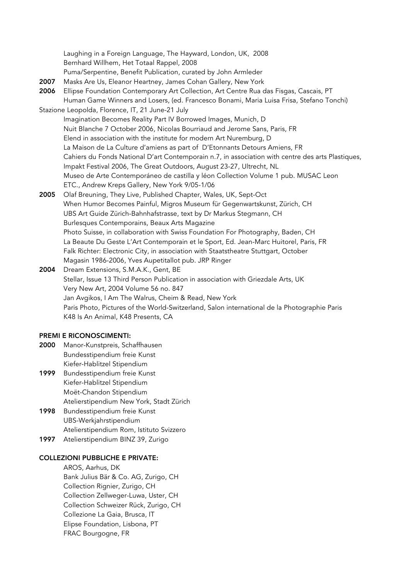Laughing in a Foreign Language, The Hayward, London, UK, 2008 Bernhard Willhem, Het Totaal Rappel, 2008 Puma/Serpentine, Benefit Publication, curated by John Armleder 2007 Masks Are Us, Eleanor Heartney, James Cohan Gallery, New York 2006 Ellipse Foundation Contemporary Art Collection, Art Centre Rua das Fisgas, Cascais, PT Human Game Winners and Losers, (ed. Francesco Bonami, Maria Luisa Frisa, Stefano Tonchi) Stazione Leopolda, Florence, IT, 21 June-21 July Imagination Becomes Reality Part IV Borrowed Images, Munich, D Nuit Blanche 7 October 2006, Nicolas Bourriaud and Jerome Sans, Paris, FR Elend in association with the institute for modern Art Nuremburg, D La Maison de La Culture d'amiens as part of D'Etonnants Detours Amiens, FR Cahiers du Fonds National D'art Contemporain n.7, in association with centre des arts Plastiques, Impakt Festival 2006, The Great Outdoors, August 23-27, Ultrecht, NL Museo de Arte Contemporáneo de castilla y léon Collection Volume 1 pub. MUSAC Leon ETC., Andrew Kreps Gallery, New York 9/05-1/06 2005 Olaf Breuning, They Live, Published Chapter, Wales, UK, Sept-Oct When Humor Becomes Painful, Migros Museum für Gegenwartskunst, Zürich, CH UBS Art Guide Zürich-Bahnhafstrasse, text by Dr Markus Stegmann, CH Burlesques Contemporains, Beaux Arts Magazine Photo Suisse, in collaboration with Swiss Foundation For Photography, Baden, CH La Beaute Du Geste L'Art Contemporain et le Sport, Ed. Jean-Marc Huitorel, Paris, FR Falk Richter: Electronic City, in association with Staatstheatre Stuttgart, October

Magasin 1986-2006, Yves Aupetitallot pub. JRP Ringer

2004 Dream Extensions, S.M.A.K., Gent, BE Stellar, Issue 13 Third Person Publication in association with Griezdale Arts, UK Very New Art, 2004 Volume 56 no. 847 Jan Avgikos, I Am The Walrus, Cheim & Read, New York Paris Photo, Pictures of the World-Switzerland, Salon international de la Photographie Paris K48 Is An Animal, K48 Presents, CA

# PREMI E RICONOSCIMENTI:

- 2000 Manor-Kunstpreis, Schaffhausen Bundesstipendium freie Kunst Kiefer-Hablitzel Stipendium
- 1999 Bundesstipendium freie Kunst Kiefer-Hablitzel Stipendium Moët-Chandon Stipendium Atelierstipendium New York, Stadt Zürich
- 1998 Bundesstipendium freie Kunst UBS-Werkjahrstipendium Atelierstipendium Rom, Istituto Svizzero
- 1997 Atelierstipendium BINZ 39, Zurigo

#### COLLEZIONI PUBBLICHE E PRIVATE:

AROS, Aarhus, DK Bank Julius Bär & Co. AG, Zurigo, CH Collection Rignier, Zurigo, CH Collection Zellweger-Luwa, Uster, CH Collection Schweizer Rück, Zurigo, CH Collezione La Gaia, Brusca, IT Elipse Foundation, Lisbona, PT FRAC Bourgogne, FR